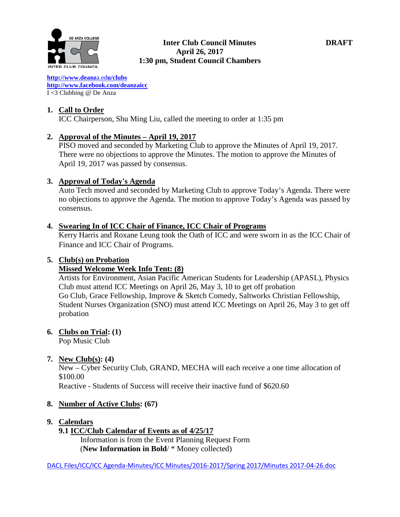

#### **Inter Club Council Minutes DRAFT April 26, 2017 1:30 pm, Student Council Chambers**

**[http://www.deanz](http://www.deanza.edu/clubs)**[a.ed](http://www.deanza.edu/clubs)**[u/clubs](http://www.deanza.edu/clubs) [http://www.facebook.com/deanzaicc](http://www.facebook.com/home.php#!/group.php?gid=59034552686)** I <3 Clubbing @ De Anza

# **1. Call to Order**

ICC Chairperson, Shu Ming Liu, called the meeting to order at 1:35 pm

# **2. Approval of the Minutes – April 19, 2017**

PISO moved and seconded by Marketing Club to approve the Minutes of April 19, 2017. There were no objections to approve the Minutes. The motion to approve the Minutes of April 19, 2017 was passed by consensus.

# **3. Approval of Today's Agenda**

Auto Tech moved and seconded by Marketing Club to approve Today's Agenda. There were no objections to approve the Agenda. The motion to approve Today's Agenda was passed by consensus.

# **4. Swearing In of ICC Chair of Finance, ICC Chair of Programs**

Kerry Harris and Roxane Leung took the Oath of ICC and were sworn in as the ICC Chair of Finance and ICC Chair of Programs.

# **5. Club(s) on Probation**

# **Missed Welcome Week Info Tent: (8)**

Artists for Environment, Asian Pacific American Students for Leadership (APASL), Physics Club must attend ICC Meetings on April 26, May 3, 10 to get off probation Go Club, Grace Fellowship, Improve & Sketch Comedy, Saltworks Christian Fellowship, Student Nurses Organization (SNO) must attend ICC Meetings on April 26, May 3 to get off probation

# **6. Clubs on Trial: (1)**

Pop Music Club

# **7. New Club(s): (4)**

New – Cyber Security Club, GRAND, MECHA will each receive a one time allocation of \$100.00

Reactive - Students of Success will receive their inactive fund of \$620.60

# **8. Number of Active Clubs: (67)**

# **9. Calendars**

# **9.1 ICC/Club Calendar of Events as of 4/25/17**

 Information is from the Event Planning Request Form (**New Information in Bold**/ \* Money collected)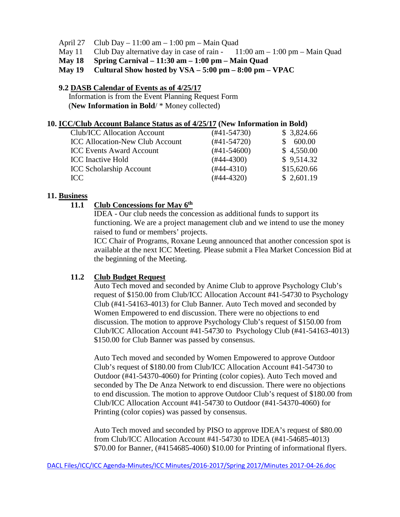- April 27 Club Day 11:00 am 1:00 pm Main Quad
- May 11 Club Day alternative day in case of rain  $11:00 \text{ am} 1:00 \text{ pm} \text{Main Quad}$
- **May 18 Spring Carnival – 11:30 am – 1:00 pm – Main Quad**

#### **May 19 Cultural Show hosted by VSA – 5:00 pm – 8:00 pm – VPAC**

#### **9.2 DASB Calendar of Events as of 4/25/17**

Information is from the Event Planning Request Form (**New Information in Bold**/ \* Money collected)

#### **10. ICC/Club Account Balance Status as of 4/25/17 (New Information in Bold)**

| Club/ICC Allocation Account            | $(#41-54730)$ | \$3,824.66  |
|----------------------------------------|---------------|-------------|
| <b>ICC Allocation-New Club Account</b> | $(#41-54720)$ | \$600.00    |
| <b>ICC Events Award Account</b>        | $(#41-54600)$ | \$4,550.00  |
| <b>ICC</b> Inactive Hold               | $(#44-4300)$  | \$9,514.32  |
| <b>ICC Scholarship Account</b>         | $(#44-4310)$  | \$15,620.66 |
| ICC                                    | $(#44-4320)$  | \$2,601.19  |
|                                        |               |             |

#### **11. Business**

# **11.1 Club Concessions for May 6th**

IDEA - Our club needs the concession as additional funds to support its functioning. We are a project management club and we intend to use the money raised to fund or members' projects.

ICC Chair of Programs, Roxane Leung announced that another concession spot is available at the next ICC Meeting. Please submit a Flea Market Concession Bid at the beginning of the Meeting.

#### **11.2 Club Budget Request**

Auto Tech moved and seconded by Anime Club to approve Psychology Club's request of \$150.00 from Club/ICC Allocation Account #41-54730 to Psychology Club (#41-54163-4013) for Club Banner. Auto Tech moved and seconded by Women Empowered to end discussion. There were no objections to end discussion. The motion to approve Psychology Club's request of \$150.00 from Club/ICC Allocation Account #41-54730 to Psychology Club (#41-54163-4013) \$150.00 for Club Banner was passed by consensus.

Auto Tech moved and seconded by Women Empowered to approve Outdoor Club's request of \$180.00 from Club/ICC Allocation Account #41-54730 to Outdoor (#41-54370-4060) for Printing (color copies). Auto Tech moved and seconded by The De Anza Network to end discussion. There were no objections to end discussion. The motion to approve Outdoor Club's request of \$180.00 from Club/ICC Allocation Account #41-54730 to Outdoor (#41-54370-4060) for Printing (color copies) was passed by consensus.

Auto Tech moved and seconded by PISO to approve IDEA's request of \$80.00 from Club/ICC Allocation Account #41-54730 to IDEA (#41-54685-4013) \$70.00 for Banner, (#4154685-4060) \$10.00 for Printing of informational flyers.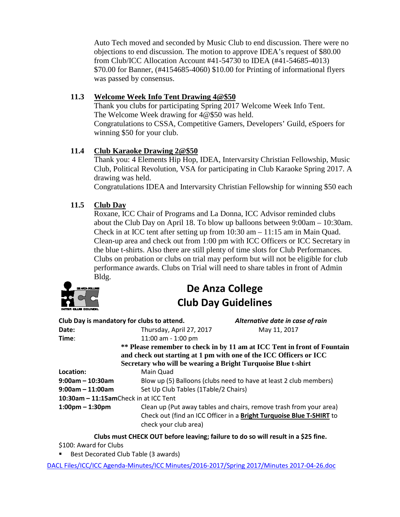Auto Tech moved and seconded by Music Club to end discussion. There were no objections to end discussion. The motion to approve IDEA's request of \$80.00 from Club/ICC Allocation Account #41-54730 to IDEA (#41-54685-4013) \$70.00 for Banner, (#4154685-4060) \$10.00 for Printing of informational flyers was passed by consensus.

# **11.3 Welcome Week Info Tent Drawing 4@\$50**

Thank you clubs for participating Spring 2017 Welcome Week Info Tent. The Welcome Week drawing for 4@\$50 was held. Congratulations to CSSA, Competitive Gamers, Developers' Guild, eSpoers for winning \$50 for your club.

# **11.4 Club Karaoke Drawing 2@\$50**

Thank you: 4 Elements Hip Hop, IDEA, Intervarsity Christian Fellowship, Music Club, Political Revolution, VSA for participating in Club Karaoke Spring 2017. A drawing was held.

Congratulations IDEA and Intervarsity Christian Fellowship for winning \$50 each

# **11.5 Club Day**

Roxane, ICC Chair of Programs and La Donna, ICC Advisor reminded clubs about the Club Day on April 18. To blow up balloons between 9:00am – 10:30am. Check in at ICC tent after setting up from 10:30 am – 11:15 am in Main Quad. Clean-up area and check out from 1:00 pm with ICC Officers or ICC Secretary in the blue t-shirts. Also there are still plenty of time slots for Club Performances. Clubs on probation or clubs on trial may perform but will not be eligible for club performance awards. Clubs on Trial will need to share tables in front of Admin Bldg.



# **De Anza College Club Day Guidelines**

|                                   | Club Day is mandatory for clubs to attend.                    | Alternative date in case of rain                                         |
|-----------------------------------|---------------------------------------------------------------|--------------------------------------------------------------------------|
| Date:                             | Thursday, April 27, 2017                                      | May 11, 2017                                                             |
| Time:                             | 11:00 am - 1:00 pm                                            |                                                                          |
|                                   |                                                               | ** Please remember to check in by 11 am at ICC Tent in front of Fountain |
|                                   |                                                               | and check out starting at 1 pm with one of the ICC Officers or ICC       |
|                                   | Secretary who will be wearing a Bright Turquoise Blue t-shirt |                                                                          |
| Location:                         | Main Quad                                                     |                                                                          |
| $9:00$ am – 10:30am               |                                                               | Blow up (5) Balloons (clubs need to have at least 2 club members)        |
| $9:00$ am – 11:00am               | Set Up Club Tables (1Table/2 Chairs)                          |                                                                          |
|                                   | 10:30am - 11:15amCheck in at ICC Tent                         |                                                                          |
| $1:00 \text{pm} - 1:30 \text{pm}$ |                                                               | Clean up (Put away tables and chairs, remove trash from your area)       |
|                                   |                                                               | Check out (find an ICC Officer in a Bright Turquoise Blue T-SHIRT to     |
|                                   | check your club area)                                         |                                                                          |
|                                   |                                                               |                                                                          |

**Clubs must CHECK OUT before leaving; failure to do so will result in a \$25 fine.**

\$100: Award for Clubs

Best Decorated Club Table (3 awards)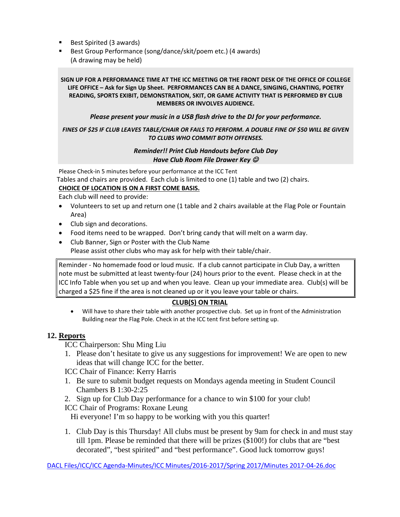- Best Spirited (3 awards)
- Best Group Performance (song/dance/skit/poem etc.) (4 awards) (A drawing may be held)

#### **SIGN UP FOR A PERFORMANCE TIME AT THE ICC MEETING OR THE FRONT DESK OF THE OFFICE OF COLLEGE LIFE OFFICE – Ask for Sign Up Sheet. PERFORMANCES CAN BE A DANCE, SINGING, CHANTING, POETRY READING, SPORTS EXIBIT, DEMONSTRATION, SKIT, OR GAME ACTIVITY THAT IS PERFORMED BY CLUB MEMBERS OR INVOLVES AUDIENCE.**

#### *Please present your music in a USB flash drive to the DJ for your performance.*

#### *FINES OF \$25 IF CLUB LEAVES TABLE/CHAIR OR FAILS TO PERFORM. A DOUBLE FINE OF \$50 WILL BE GIVEN TO CLUBS WHO COMMIT BOTH OFFENSES.*

#### *Reminder!! Print Club Handouts before Club Day Have Club Room File Drawer Key*

Please Check-in 5 minutes before your performance at the ICC Tent Tables and chairs are provided. Each club is limited to one (1) table and two (2) chairs.

#### **CHOICE OF LOCATION IS ON A FIRST COME BASIS.**

Each club will need to provide:

- Volunteers to set up and return one (1 table and 2 chairs available at the Flag Pole or Fountain Area)
- Club sign and decorations.
- Food items need to be wrapped. Don't bring candy that will melt on a warm day.
- Club Banner, Sign or Poster with the Club Name Please assist other clubs who may ask for help with their table/chair.

Reminder - No homemade food or loud music. If a club cannot participate in Club Day, a written note must be submitted at least twenty-four (24) hours prior to the event. Please check in at the ICC Info Table when you set up and when you leave. Clean up your immediate area. Club(s) will be charged a \$25 fine if the area is not cleaned up or it you leave your table or chairs.

#### **CLUB(S) ON TRIAL**

• Will have to share their table with another prospective club. Set up in front of the Administration Building near the Flag Pole. Check in at the ICC tent first before setting up.

#### **12. Reports**

ICC Chairperson: Shu Ming Liu

1. Please don't hesitate to give us any suggestions for improvement! We are open to new ideas that will change ICC for the better.

ICC Chair of Finance: Kerry Harris

- 1. Be sure to submit budget requests on Mondays agenda meeting in Student Council Chambers B 1:30-2:25
- 2. Sign up for Club Day performance for a chance to win \$100 for your club!
- ICC Chair of Programs: Roxane Leung

Hi everyone! I'm so happy to be working with you this quarter!

1. Club Day is this Thursday! All clubs must be present by 9am for check in and must stay till 1pm. Please be reminded that there will be prizes (\$100!) for clubs that are "best decorated", "best spirited" and "best performance". Good luck tomorrow guys!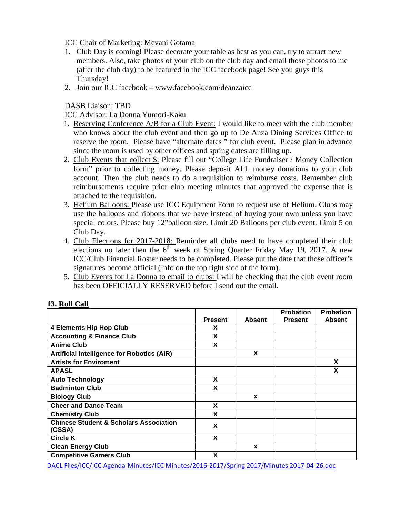ICC Chair of Marketing: Mevani Gotama

- 1. Club Day is coming! Please decorate your table as best as you can, try to attract new members. Also, take photos of your club on the club day and email those photos to me (after the club day) to be featured in the ICC facebook page! See you guys this Thursday!
- 2. Join our ICC facebook www.facebook.com/deanzaicc

DASB Liaison: TBD

ICC Advisor: La Donna Yumori-Kaku

- 1. Reserving Conference A/B for a Club Event: I would like to meet with the club member who knows about the club event and then go up to De Anza Dining Services Office to reserve the room. Please have "alternate dates " for club event. Please plan in advance since the room is used by other offices and spring dates are filling up.
- 2. Club Events that collect \$: Please fill out "College Life Fundraiser / Money Collection form" prior to collecting money. Please deposit ALL money donations to your club account. Then the club needs to do a requisition to reimburse costs. Remember club reimbursements require prior club meeting minutes that approved the expense that is attached to the requisition.
- 3. Helium Balloons: Please use ICC Equipment Form to request use of Helium. Clubs may use the balloons and ribbons that we have instead of buying your own unless you have special colors. Please buy 12"balloon size. Limit 20 Balloons per club event. Limit 5 on Club Day.
- 4. Club Elections for 2017-2018: Reminder all clubs need to have completed their club elections no later then the  $6<sup>th</sup>$  week of Spring Quarter Friday May 19, 2017. A new ICC/Club Financial Roster needs to be completed. Please put the date that those officer's signatures become official (Info on the top right side of the form).
- 5. Club Events for La Donna to email to clubs: I will be checking that the club event room has been OFFICIALLY RESERVED before I send out the email.

| 19. IWII VAII                                               |                |               | <b>Probation</b> | <b>Probation</b> |
|-------------------------------------------------------------|----------------|---------------|------------------|------------------|
|                                                             | <b>Present</b> | <b>Absent</b> | <b>Present</b>   | <b>Absent</b>    |
| <b>4 Elements Hip Hop Club</b>                              | X              |               |                  |                  |
| <b>Accounting &amp; Finance Club</b>                        | X              |               |                  |                  |
| <b>Anime Club</b>                                           | X              |               |                  |                  |
| <b>Artificial Intelligence for Robotics (AIR)</b>           |                | X             |                  |                  |
| <b>Artists for Enviroment</b>                               |                |               |                  | X                |
| <b>APASL</b>                                                |                |               |                  | X                |
| <b>Auto Technology</b>                                      | X              |               |                  |                  |
| <b>Badminton Club</b>                                       | X              |               |                  |                  |
| <b>Biology Club</b>                                         |                | X             |                  |                  |
| <b>Cheer and Dance Team</b>                                 | X              |               |                  |                  |
| <b>Chemistry Club</b>                                       | X              |               |                  |                  |
| <b>Chinese Student &amp; Scholars Association</b><br>(CSSA) | X              |               |                  |                  |
| <b>Circle K</b>                                             | X              |               |                  |                  |
| <b>Clean Energy Club</b>                                    |                | X             |                  |                  |
| <b>Competitive Gamers Club</b>                              | X              |               |                  |                  |

# **13. Roll Call**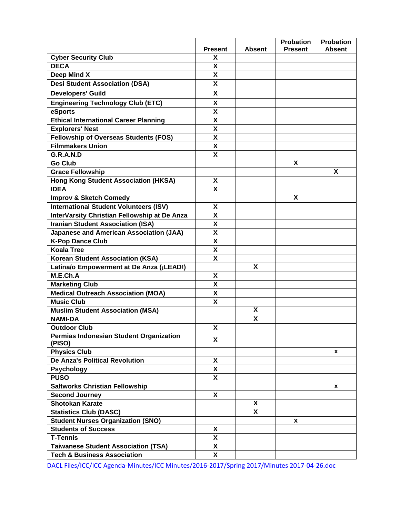|                                                                        | <b>Present</b>                                | <b>Absent</b> | <b>Probation</b><br><b>Present</b> | <b>Probation</b><br><b>Absent</b> |
|------------------------------------------------------------------------|-----------------------------------------------|---------------|------------------------------------|-----------------------------------|
| <b>Cyber Security Club</b>                                             | X                                             |               |                                    |                                   |
| <b>DECA</b>                                                            | X                                             |               |                                    |                                   |
| Deep Mind X                                                            | X                                             |               |                                    |                                   |
| <b>Desi Student Association (DSA)</b>                                  | X                                             |               |                                    |                                   |
| <b>Developers' Guild</b>                                               | <b>X</b>                                      |               |                                    |                                   |
| <b>Engineering Technology Club (ETC)</b>                               | $\mathsf{x}$                                  |               |                                    |                                   |
| eSports                                                                | $\pmb{\mathsf{X}}$                            |               |                                    |                                   |
| <b>Ethical International Career Planning</b>                           | $\boldsymbol{\mathsf{X}}$                     |               |                                    |                                   |
| <b>Explorers' Nest</b>                                                 | X                                             |               |                                    |                                   |
| <b>Fellowship of Overseas Students (FOS)</b>                           | X                                             |               |                                    |                                   |
| <b>Filmmakers Union</b>                                                | X                                             |               |                                    |                                   |
| G.R.A.N.D                                                              | X                                             |               |                                    |                                   |
| <b>Go Club</b>                                                         |                                               |               | X                                  |                                   |
|                                                                        |                                               |               |                                    | X                                 |
| <b>Grace Fellowship</b><br><b>Hong Kong Student Association (HKSA)</b> |                                               |               |                                    |                                   |
| <b>IDEA</b>                                                            | X                                             |               |                                    |                                   |
|                                                                        | X                                             |               | X                                  |                                   |
| <b>Improv &amp; Sketch Comedy</b>                                      |                                               |               |                                    |                                   |
| <b>International Student Volunteers (ISV)</b>                          | X                                             |               |                                    |                                   |
| InterVarsity Christian Fellowship at De Anza                           | X                                             |               |                                    |                                   |
| <b>Iranian Student Association (ISA)</b>                               | $\pmb{\mathsf{X}}$                            |               |                                    |                                   |
| <b>Japanese and American Association (JAA)</b>                         | $\pmb{\mathsf{X}}$                            |               |                                    |                                   |
| <b>K-Pop Dance Club</b>                                                | $\boldsymbol{\mathsf{X}}$                     |               |                                    |                                   |
| <b>Koala Tree</b>                                                      | $\pmb{\mathsf{X}}$<br>$\overline{\mathbf{x}}$ |               |                                    |                                   |
| <b>Korean Student Association (KSA)</b>                                |                                               |               |                                    |                                   |
| Latina/o Empowerment at De Anza (¡LEAD!)                               |                                               | X             |                                    |                                   |
| M.E.Ch.A                                                               | X                                             |               |                                    |                                   |
| <b>Marketing Club</b>                                                  | $\boldsymbol{\mathsf{x}}$                     |               |                                    |                                   |
| <b>Medical Outreach Association (MOA)</b>                              | X                                             |               |                                    |                                   |
| <b>Music Club</b>                                                      | X                                             |               |                                    |                                   |
| <b>Muslim Student Association (MSA)</b>                                |                                               | X             |                                    |                                   |
| <b>NAMI-DA</b>                                                         |                                               | X             |                                    |                                   |
| <b>Outdoor Club</b>                                                    | X                                             |               |                                    |                                   |
| Permias Indonesian Student Organization<br>(PISO)                      | <b>X</b>                                      |               |                                    |                                   |
| <b>Physics Club</b>                                                    |                                               |               |                                    | <b>X</b>                          |
| <b>De Anza's Political Revolution</b>                                  | X                                             |               |                                    |                                   |
| <b>Psychology</b>                                                      | X                                             |               |                                    |                                   |
| <b>PUSO</b>                                                            | X                                             |               |                                    |                                   |
| <b>Saltworks Christian Fellowship</b>                                  |                                               |               |                                    | x                                 |
| <b>Second Journey</b>                                                  | X                                             |               |                                    |                                   |
| <b>Shotokan Karate</b>                                                 |                                               | X             |                                    |                                   |
| <b>Statistics Club (DASC)</b>                                          |                                               | X             |                                    |                                   |
| <b>Student Nurses Organization (SNO)</b>                               |                                               |               | X                                  |                                   |
| <b>Students of Success</b>                                             | X                                             |               |                                    |                                   |
| <b>T-Tennis</b>                                                        | $\boldsymbol{\mathsf{X}}$                     |               |                                    |                                   |
| <b>Taiwanese Student Association (TSA)</b>                             | X                                             |               |                                    |                                   |
| <b>Tech &amp; Business Association</b>                                 | $\mathbf{x}$                                  |               |                                    |                                   |